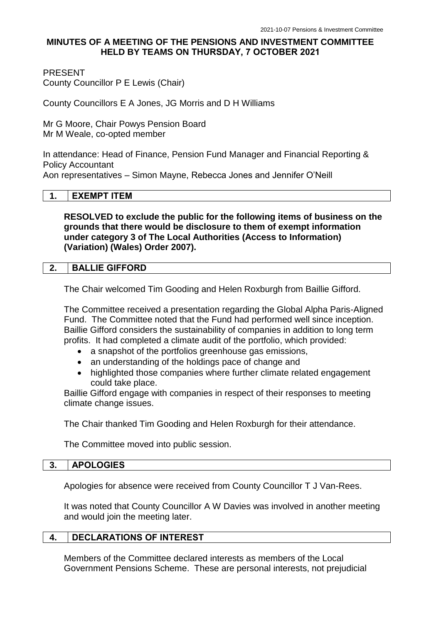# **MINUTES OF A MEETING OF THE PENSIONS AND INVESTMENT COMMITTEE HELD BY TEAMS ON THURSDAY, 7 OCTOBER 2021**

PRESENT

County Councillor P E Lewis (Chair)

County Councillors E A Jones, JG Morris and D H Williams

Mr G Moore, Chair Powys Pension Board Mr M Weale, co-opted member

In attendance: Head of Finance, Pension Fund Manager and Financial Reporting & Policy Accountant

Aon representatives – Simon Mayne, Rebecca Jones and Jennifer O'Neill

#### **1. EXEMPT ITEM**

**RESOLVED to exclude the public for the following items of business on the grounds that there would be disclosure to them of exempt information under category 3 of The Local Authorities (Access to Information) (Variation) (Wales) Order 2007).**

### **2. BALLIE GIFFORD**

The Chair welcomed Tim Gooding and Helen Roxburgh from Baillie Gifford.

The Committee received a presentation regarding the Global Alpha Paris-Aligned Fund. The Committee noted that the Fund had performed well since inception. Baillie Gifford considers the sustainability of companies in addition to long term profits. It had completed a climate audit of the portfolio, which provided:

- a snapshot of the portfolios greenhouse gas emissions,
- an understanding of the holdings pace of change and
- highlighted those companies where further climate related engagement could take place.

Baillie Gifford engage with companies in respect of their responses to meeting climate change issues.

The Chair thanked Tim Gooding and Helen Roxburgh for their attendance.

The Committee moved into public session.

#### **3. APOLOGIES**

Apologies for absence were received from County Councillor T J Van-Rees.

It was noted that County Councillor A W Davies was involved in another meeting and would join the meeting later.

## **4. DECLARATIONS OF INTEREST**

Members of the Committee declared interests as members of the Local Government Pensions Scheme. These are personal interests, not prejudicial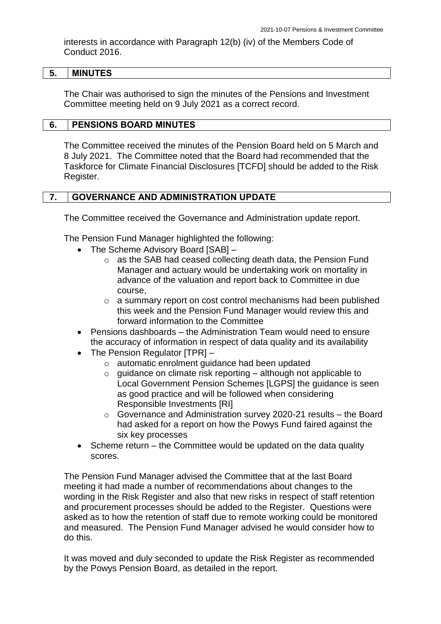interests in accordance with Paragraph 12(b) (iv) of the Members Code of Conduct 2016.

### **5. MINUTES**

The Chair was authorised to sign the minutes of the Pensions and Investment Committee meeting held on 9 July 2021 as a correct record.

#### **6. PENSIONS BOARD MINUTES**

The Committee received the minutes of the Pension Board held on 5 March and 8 July 2021. The Committee noted that the Board had recommended that the Taskforce for Climate Financial Disclosures [TCFD] should be added to the Risk Register.

### **7. GOVERNANCE AND ADMINISTRATION UPDATE**

The Committee received the Governance and Administration update report.

The Pension Fund Manager highlighted the following:

- The Scheme Advisory Board [SAB]
	- o as the SAB had ceased collecting death data, the Pension Fund Manager and actuary would be undertaking work on mortality in advance of the valuation and report back to Committee in due course,
	- o a summary report on cost control mechanisms had been published this week and the Pension Fund Manager would review this and forward information to the Committee
- Pensions dashboards the Administration Team would need to ensure the accuracy of information in respect of data quality and its availability
- The Pension Regulator [TPR]
	- o automatic enrolment guidance had been updated
	- $\circ$  quidance on climate risk reporting although not applicable to Local Government Pension Schemes [LGPS] the guidance is seen as good practice and will be followed when considering Responsible Investments [RI]
	- o Governance and Administration survey 2020-21 results the Board had asked for a report on how the Powys Fund faired against the six key processes
- Scheme return the Committee would be updated on the data quality scores.

The Pension Fund Manager advised the Committee that at the last Board meeting it had made a number of recommendations about changes to the wording in the Risk Register and also that new risks in respect of staff retention and procurement processes should be added to the Register. Questions were asked as to how the retention of staff due to remote working could be monitored and measured. The Pension Fund Manager advised he would consider how to do this.

It was moved and duly seconded to update the Risk Register as recommended by the Powys Pension Board, as detailed in the report.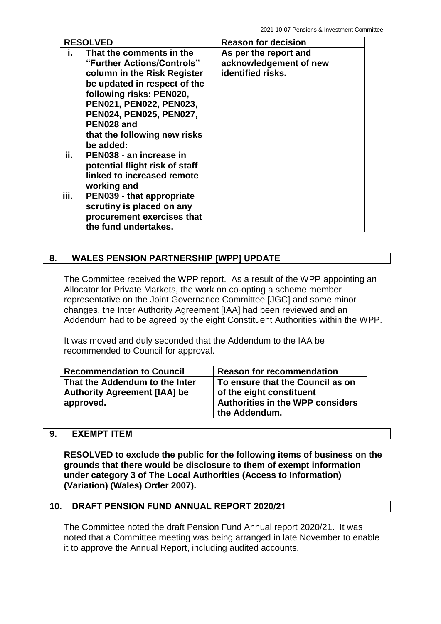| <b>RESOLVED</b> |                                | <b>Reason for decision</b> |
|-----------------|--------------------------------|----------------------------|
| Ĭ.              | That the comments in the       | As per the report and      |
|                 | "Further Actions/Controls"     | acknowledgement of new     |
|                 | column in the Risk Register    | identified risks.          |
|                 | be updated in respect of the   |                            |
|                 | following risks: PEN020,       |                            |
|                 | PEN021, PEN022, PEN023,        |                            |
|                 | PEN024, PEN025, PEN027,        |                            |
|                 | PEN028 and                     |                            |
|                 | that the following new risks   |                            |
|                 | be added:                      |                            |
| ii.             | PEN038 - an increase in        |                            |
|                 | potential flight risk of staff |                            |
|                 | linked to increased remote     |                            |
|                 | working and                    |                            |
| iii.            | PEN039 - that appropriate      |                            |
|                 | scrutiny is placed on any      |                            |
|                 | procurement exercises that     |                            |
|                 | the fund undertakes.           |                            |

# **8. WALES PENSION PARTNERSHIP [WPP] UPDATE**

The Committee received the WPP report. As a result of the WPP appointing an Allocator for Private Markets, the work on co-opting a scheme member representative on the Joint Governance Committee [JGC] and some minor changes, the Inter Authority Agreement [IAA] had been reviewed and an Addendum had to be agreed by the eight Constituent Authorities within the WPP.

It was moved and duly seconded that the Addendum to the IAA be recommended to Council for approval.

| <b>Recommendation to Council</b>    | <b>Reason for recommendation</b>        |
|-------------------------------------|-----------------------------------------|
| That the Addendum to the Inter      | To ensure that the Council as on        |
| <b>Authority Agreement [IAA] be</b> | of the eight constituent                |
| approved.                           | <b>Authorities in the WPP considers</b> |
|                                     | the Addendum.                           |

## **9. EXEMPT ITEM**

**RESOLVED to exclude the public for the following items of business on the grounds that there would be disclosure to them of exempt information under category 3 of The Local Authorities (Access to Information) (Variation) (Wales) Order 2007).**

## **10. DRAFT PENSION FUND ANNUAL REPORT 2020/21**

The Committee noted the draft Pension Fund Annual report 2020/21. It was noted that a Committee meeting was being arranged in late November to enable it to approve the Annual Report, including audited accounts.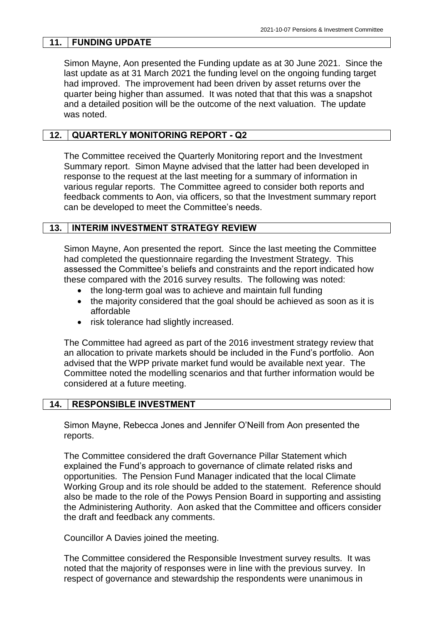# **11. FUNDING UPDATE**

Simon Mayne, Aon presented the Funding update as at 30 June 2021. Since the last update as at 31 March 2021 the funding level on the ongoing funding target had improved. The improvement had been driven by asset returns over the quarter being higher than assumed. It was noted that that this was a snapshot and a detailed position will be the outcome of the next valuation. The update was noted.

# **12. QUARTERLY MONITORING REPORT - Q2**

The Committee received the Quarterly Monitoring report and the Investment Summary report. Simon Mayne advised that the latter had been developed in response to the request at the last meeting for a summary of information in various regular reports. The Committee agreed to consider both reports and feedback comments to Aon, via officers, so that the Investment summary report can be developed to meet the Committee's needs.

## **13. INTERIM INVESTMENT STRATEGY REVIEW**

Simon Mayne, Aon presented the report. Since the last meeting the Committee had completed the questionnaire regarding the Investment Strategy. This assessed the Committee's beliefs and constraints and the report indicated how these compared with the 2016 survey results. The following was noted:

- the long-term goal was to achieve and maintain full funding
- the majority considered that the goal should be achieved as soon as it is affordable
- risk tolerance had slightly increased.

The Committee had agreed as part of the 2016 investment strategy review that an allocation to private markets should be included in the Fund's portfolio. Aon advised that the WPP private market fund would be available next year. The Committee noted the modelling scenarios and that further information would be considered at a future meeting.

## **14. RESPONSIBLE INVESTMENT**

Simon Mayne, Rebecca Jones and Jennifer O'Neill from Aon presented the reports.

The Committee considered the draft Governance Pillar Statement which explained the Fund's approach to governance of climate related risks and opportunities. The Pension Fund Manager indicated that the local Climate Working Group and its role should be added to the statement. Reference should also be made to the role of the Powys Pension Board in supporting and assisting the Administering Authority. Aon asked that the Committee and officers consider the draft and feedback any comments.

Councillor A Davies joined the meeting.

The Committee considered the Responsible Investment survey results. It was noted that the majority of responses were in line with the previous survey. In respect of governance and stewardship the respondents were unanimous in